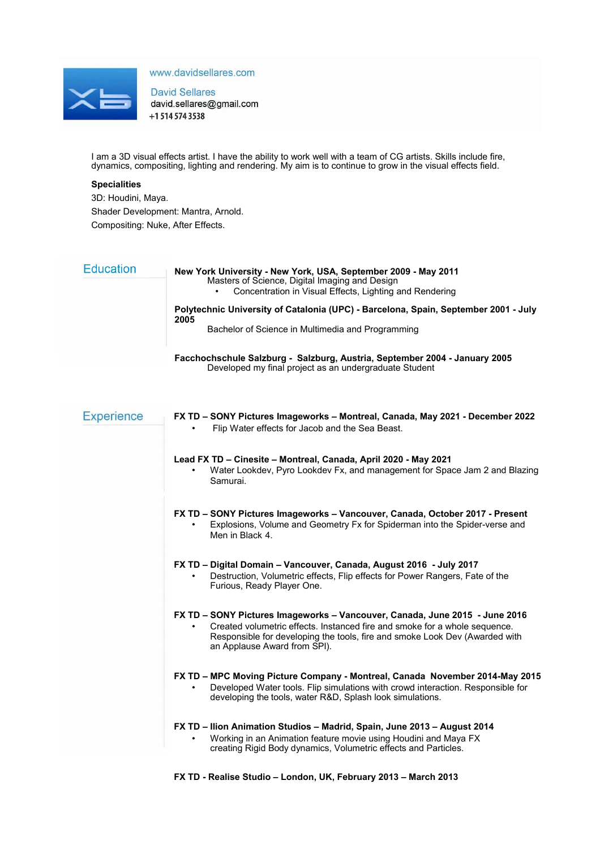

www.davidsellares.com

**David Sellares** david.sellares@gmail.com +1 514 574 3538

I am a 3D visual effects artist. I have the ability to work well with a team of CG artists. Skills include fire, dynamics, compositing, lighting and rendering. My aim is to continue to grow in the visual effects field.

# **Specialities**

3D: Houdini, Maya. Shader Development: Mantra, Arnold.

Compositing: Nuke, After Effects.

| <b>Education</b> | New York University - New York, USA, September 2009 - May 2011<br>Masters of Science, Digital Imaging and Design<br>Concentration in Visual Effects, Lighting and Rendering<br>$\bullet$ |
|------------------|------------------------------------------------------------------------------------------------------------------------------------------------------------------------------------------|
|                  | Polytechnic University of Catalonia (UPC) - Barcelona, Spain, September 2001 - July<br>2005<br>Bachelor of Science in Multimedia and Programming                                         |
|                  | Facchochschule Salzburg - Salzburg, Austria, September 2004 - January 2005<br>Developed my final project as an undergraduate Student                                                     |

| <b>Experience</b> | FX TD - SONY Pictures Imageworks - Montreal, Canada, May 2021 - December 2022<br>Flip Water effects for Jacob and the Sea Beast.                                                                                                                                         |
|-------------------|--------------------------------------------------------------------------------------------------------------------------------------------------------------------------------------------------------------------------------------------------------------------------|
|                   | Lead FX TD - Cinesite - Montreal, Canada, April 2020 - May 2021<br>Water Lookdev, Pyro Lookdev Fx, and management for Space Jam 2 and Blazing<br>Samurai.                                                                                                                |
|                   | FX TD - SONY Pictures Imageworks - Vancouver, Canada, October 2017 - Present<br>Explosions, Volume and Geometry Fx for Spiderman into the Spider-verse and<br>Men in Black 4.                                                                                            |
|                   | FX TD - Digital Domain - Vancouver, Canada, August 2016 - July 2017<br>Destruction, Volumetric effects, Flip effects for Power Rangers, Fate of the<br>Furious, Ready Player One.                                                                                        |
|                   | FX TD - SONY Pictures Imageworks - Vancouver, Canada, June 2015 - June 2016<br>Created volumetric effects. Instanced fire and smoke for a whole sequence.<br>Responsible for developing the tools, fire and smoke Look Dev (Awarded with<br>an Applause Award from SPI). |
|                   | FX TD - MPC Moving Picture Company - Montreal, Canada November 2014-May 2015<br>Developed Water tools. Flip simulations with crowd interaction. Responsible for<br>developing the tools, water R&D, Splash look simulations.                                             |
|                   | FX TD – Ilion Animation Studios – Madrid, Spain, June 2013 – August 2014<br>Working in an Animation feature movie using Houdini and Maya FX<br>creating Rigid Body dynamics, Volumetric effects and Particles.                                                           |

**FX TD - Realise Studio – London, UK, February 2013 – March 2013**